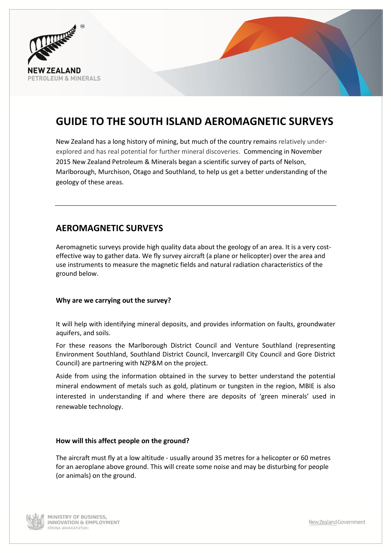

# GUIDE TO THE SOUTH ISLAND AEROMAGNETIC SURVEYS

New Zealand has a long history of mining, but much of the country remains relatively underexplored and has real potential for further mineral discoveries. Commencing in November 2015 New Zealand Petroleum & Minerals began a scientific survey of parts of Nelson, Marlborough, Murchison, Otago and Southland, to help us get a better understanding of the geology of these areas.

# AEROMAGNETIC SURVEYS

Aeromagnetic surveys provide high quality data about the geology of an area. It is a very costeffective way to gather data. We fly survey aircraft (a plane or helicopter) over the area and use instruments to measure the magnetic fields and natural radiation characteristics of the ground below.

#### Why are we carrying out the survey?

It will help with identifying mineral deposits, and provides information on faults, groundwater aquifers, and soils.

For these reasons the Marlborough District Council and Venture Southland (representing Environment Southland, Southland District Council, Invercargill City Council and Gore District Council) are partnering with NZP&M on the project.

Aside from using the information obtained in the survey to better understand the potential mineral endowment of metals such as gold, platinum or tungsten in the region, MBIE is also interested in understanding if and where there are deposits of 'green minerals' used in renewable technology.

#### How will this affect people on the ground?

The aircraft must fly at a low altitude - usually around 35 metres for a helicopter or 60 metres for an aeroplane above ground. This will create some noise and may be disturbing for people (or animals) on the ground.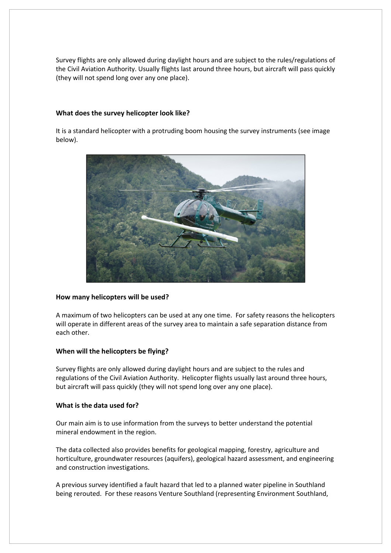Survey flights are only allowed during daylight hours and are subject to the rules/regulations of the Civil Aviation Authority. Usually flights last around three hours, but aircraft will pass quickly (they will not spend long over any one place).

#### What does the survey helicopter look like?

It is a standard helicopter with a protruding boom housing the survey instruments (see image below).



#### How many helicopters will be used?

A maximum of two helicopters can be used at any one time. For safety reasons the helicopters will operate in different areas of the survey area to maintain a safe separation distance from each other.

#### When will the helicopters be flying?

Survey flights are only allowed during daylight hours and are subject to the rules and regulations of the Civil Aviation Authority. Helicopter flights usually last around three hours, but aircraft will pass quickly (they will not spend long over any one place).

#### What is the data used for?

Our main aim is to use information from the surveys to better understand the potential mineral endowment in the region.

The data collected also provides benefits for geological mapping, forestry, agriculture and horticulture, groundwater resources (aquifers), geological hazard assessment, and engineering and construction investigations.

A previous survey identified a fault hazard that led to a planned water pipeline in Southland being rerouted. For these reasons Venture Southland (representing Environment Southland,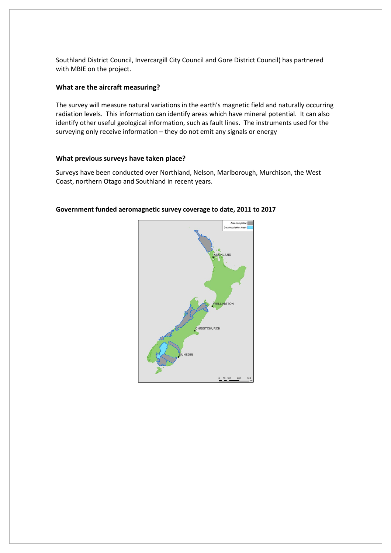Southland District Council, Invercargill City Council and Gore District Council) has partnered with MBIE on the project.

#### What are the aircraft measuring?

The survey will measure natural variations in the earth's magnetic field and naturally occurring radiation levels. This information can identify areas which have mineral potential. It can also identify other useful geological information, such as fault lines. The instruments used for the surveying only receive information – they do not emit any signals or energy

#### What previous surveys have taken place?

Surveys have been conducted over Northland, Nelson, Marlborough, Murchison, the West Coast, northern Otago and Southland in recent years.

#### Government funded aeromagnetic survey coverage to date, 2011 to 2017

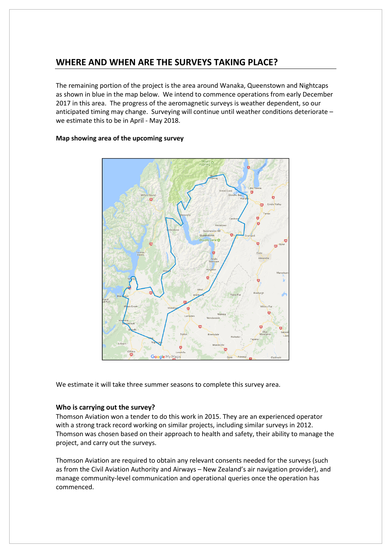### WHERE AND WHEN ARE THE SURVEYS TAKING PLACE?

The remaining portion of the project is the area around Wanaka, Queenstown and Nightcaps as shown in blue in the map below. We intend to commence operations from early December 2017 in this area. The progress of the aeromagnetic surveys is weather dependent, so our anticipated timing may change. Surveying will continue until weather conditions deteriorate – we estimate this to be in April - May 2018.





We estimate it will take three summer seasons to complete this survey area.

#### Who is carrying out the survey?

Thomson Aviation won a tender to do this work in 2015. They are an experienced operator with a strong track record working on similar projects, including similar surveys in 2012. Thomson was chosen based on their approach to health and safety, their ability to manage the project, and carry out the surveys.

Thomson Aviation are required to obtain any relevant consents needed for the surveys (such as from the Civil Aviation Authority and Airways – New Zealand's air navigation provider), and manage community-level communication and operational queries once the operation has commenced.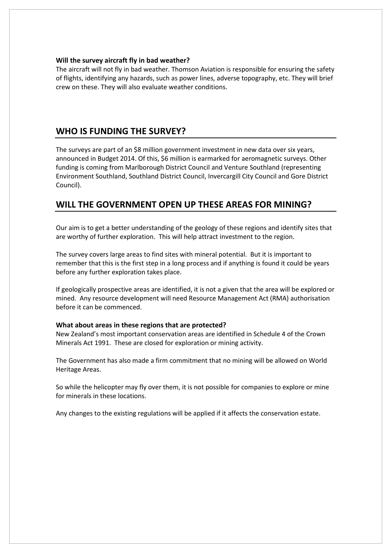#### Will the survey aircraft fly in bad weather?

The aircraft will not fly in bad weather. Thomson Aviation is responsible for ensuring the safety of flights, identifying any hazards, such as power lines, adverse topography, etc. They will brief crew on these. They will also evaluate weather conditions.

### WHO IS FUNDING THE SURVEY?

The surveys are part of an \$8 million government investment in new data over six years, announced in Budget 2014. Of this, \$6 million is earmarked for aeromagnetic surveys. Other funding is coming from Marlborough District Council and Venture Southland (representing Environment Southland, Southland District Council, Invercargill City Council and Gore District Council).

### WILL THE GOVERNMENT OPEN UP THESE AREAS FOR MINING?

Our aim is to get a better understanding of the geology of these regions and identify sites that are worthy of further exploration. This will help attract investment to the region.

The survey covers large areas to find sites with mineral potential. But it is important to remember that this is the first step in a long process and if anything is found it could be years before any further exploration takes place.

If geologically prospective areas are identified, it is not a given that the area will be explored or mined. Any resource development will need Resource Management Act (RMA) authorisation before it can be commenced.

#### What about areas in these regions that are protected?

New Zealand's most important conservation areas are identified in Schedule 4 of the Crown Minerals Act 1991. These are closed for exploration or mining activity.

The Government has also made a firm commitment that no mining will be allowed on World Heritage Areas.

So while the helicopter may fly over them, it is not possible for companies to explore or mine for minerals in these locations.

Any changes to the existing regulations will be applied if it affects the conservation estate.